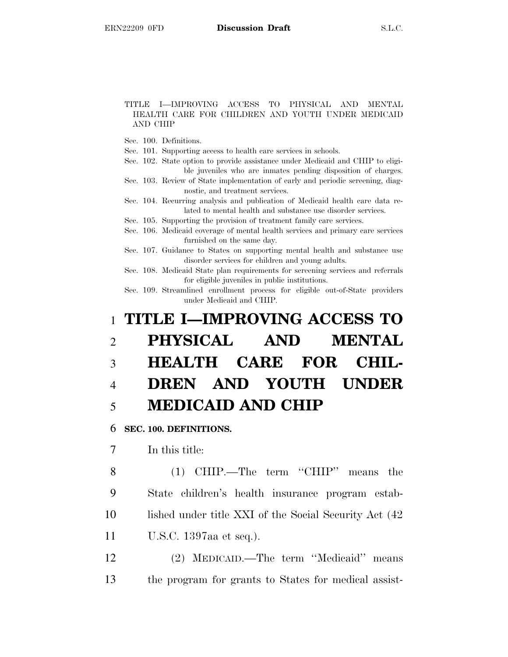#### TITLE I—IMPROVING ACCESS TO PHYSICAL AND MENTAL HEALTH CARE FOR CHILDREN AND YOUTH UNDER MEDICAID AND CHIP

- Sec. 100. Definitions.
- Sec. 101. Supporting access to health care services in schools.
- Sec. 102. State option to provide assistance under Medicaid and CHIP to eligible juveniles who are inmates pending disposition of charges.
- Sec. 103. Review of State implementation of early and periodic screening, diagnostic, and treatment services.
- Sec. 104. Recurring analysis and publication of Medicaid health care data related to mental health and substance use disorder services.
- Sec. 105. Supporting the provision of treatment family care services.
- Sec. 106. Medicaid coverage of mental health services and primary care services furnished on the same day.
- Sec. 107. Guidance to States on supporting mental health and substance use disorder services for children and young adults.
- Sec. 108. Medicaid State plan requirements for screening services and referrals for eligible juveniles in public institutions.
- Sec. 109. Streamlined enrollment process for eligible out-of-State providers under Medicaid and CHIP.

# 1 **TITLE I—IMPROVING ACCESS TO** 2 **PHYSICAL AND MENTAL** 3 **HEALTH CARE FOR CHIL-**4 **DREN AND YOUTH UNDER** 5 **MEDICAID AND CHIP**

6 **SEC. 100. DEFINITIONS.**

7 In this title:

 (1) CHIP.—The term ''CHIP'' means the State children's health insurance program estab-10 lished under title XXI of the Social Security Act (42) U.S.C. 1397aa et seq.).

12 (2) MEDICAID.—The term ''Medicaid'' means 13 the program for grants to States for medical assist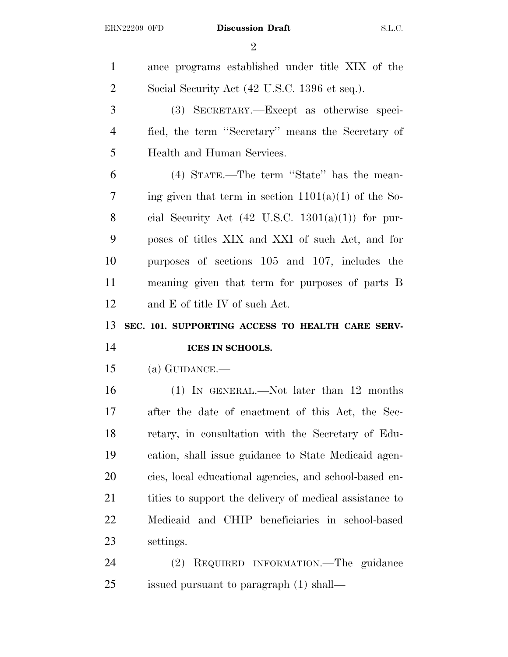$\mathfrak{D}$ 

 ance programs established under title XIX of the 2 Social Security Act (42 U.S.C. 1396 et seq.). (3) SECRETARY.—Except as otherwise speci- fied, the term ''Secretary'' means the Secretary of Health and Human Services. (4) STATE.—The term ''State'' has the mean-7 ing given that term in section  $1101(a)(1)$  of the So-8 cial Security Act  $(42 \text{ U.S.C. } 1301(a)(1))$  for pur- poses of titles XIX and XXI of such Act, and for purposes of sections 105 and 107, includes the meaning given that term for purposes of parts B and E of title IV of such Act. **SEC. 101. SUPPORTING ACCESS TO HEALTH CARE SERV- ICES IN SCHOOLS.** (a) GUIDANCE.— (1) IN GENERAL.—Not later than 12 months after the date of enactment of this Act, the Sec- retary, in consultation with the Secretary of Edu- cation, shall issue guidance to State Medicaid agen- cies, local educational agencies, and school-based en-21 tities to support the delivery of medical assistance to Medicaid and CHIP beneficiaries in school-based settings. (2) REQUIRED INFORMATION.—The guidance issued pursuant to paragraph (1) shall—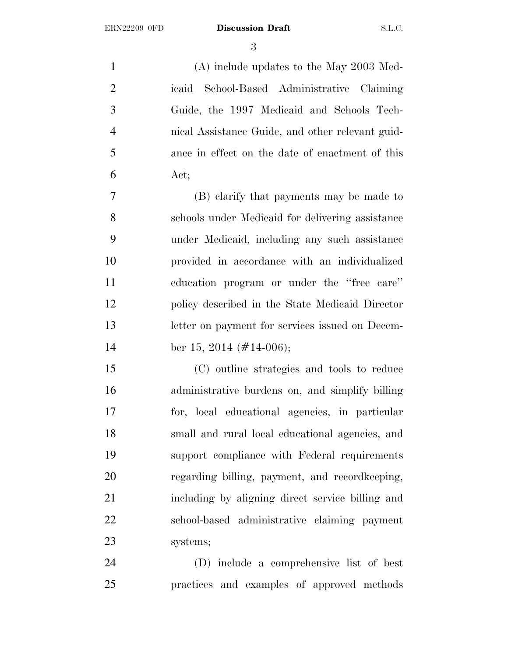(A) include updates to the May 2003 Med- icaid School-Based Administrative Claiming Guide, the 1997 Medicaid and Schools Tech- nical Assistance Guide, and other relevant guid- ance in effect on the date of enactment of this Act;

 (B) clarify that payments may be made to schools under Medicaid for delivering assistance under Medicaid, including any such assistance provided in accordance with an individualized education program or under the ''free care'' policy described in the State Medicaid Director letter on payment for services issued on Decem-14 ber 15, 2014 (#14-006);

 (C) outline strategies and tools to reduce administrative burdens on, and simplify billing for, local educational agencies, in particular small and rural local educational agencies, and support compliance with Federal requirements regarding billing, payment, and recordkeeping, including by aligning direct service billing and school-based administrative claiming payment systems;

 (D) include a comprehensive list of best practices and examples of approved methods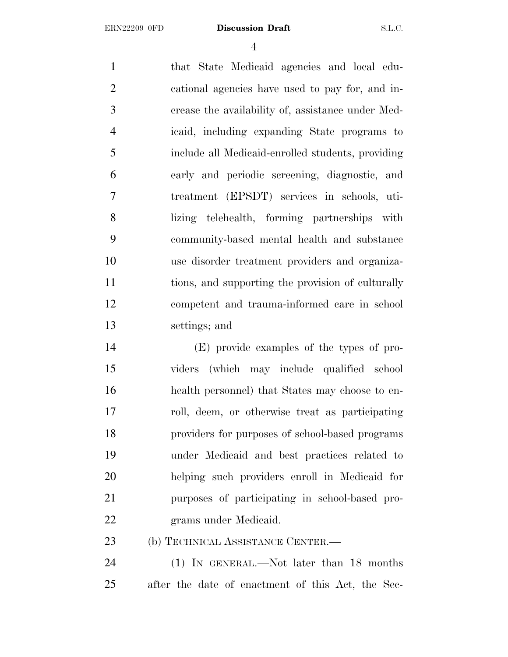that State Medicaid agencies and local edu- cational agencies have used to pay for, and in- crease the availability of, assistance under Med- icaid, including expanding State programs to include all Medicaid-enrolled students, providing early and periodic screening, diagnostic, and treatment (EPSDT) services in schools, uti- lizing telehealth, forming partnerships with community-based mental health and substance use disorder treatment providers and organiza- tions, and supporting the provision of culturally competent and trauma-informed care in school settings; and

 (E) provide examples of the types of pro- viders (which may include qualified school health personnel) that States may choose to en- roll, deem, or otherwise treat as participating providers for purposes of school-based programs under Medicaid and best practices related to helping such providers enroll in Medicaid for purposes of participating in school-based pro-grams under Medicaid.

(b) TECHNICAL ASSISTANCE CENTER.—

 (1) IN GENERAL.—Not later than 18 months after the date of enactment of this Act, the Sec-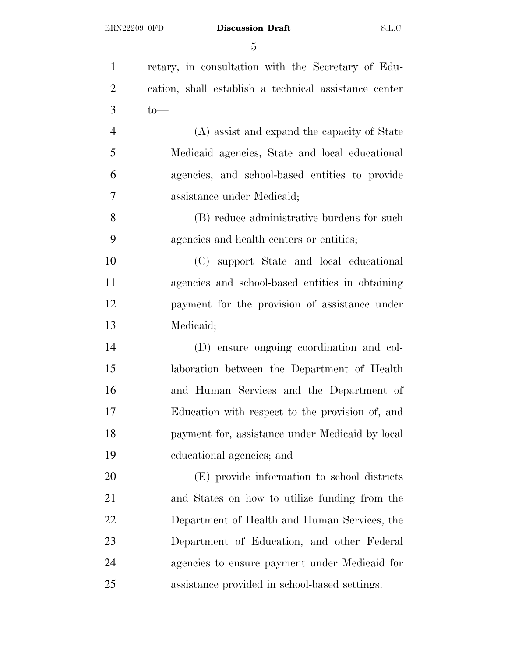| $\mathbf{1}$   | retary, in consultation with the Secretary of Edu-    |
|----------------|-------------------------------------------------------|
| $\overline{c}$ | cation, shall establish a technical assistance center |
| $\mathfrak{Z}$ | $to-$                                                 |
| $\overline{4}$ | (A) assist and expand the capacity of State           |
| 5              | Medicaid agencies, State and local educational        |
| 6              | agencies, and school-based entities to provide        |
| 7              | assistance under Medicaid;                            |
| 8              | (B) reduce administrative burdens for such            |
| 9              | agencies and health centers or entities;              |
| 10             | (C) support State and local educational               |
| 11             | agencies and school-based entities in obtaining       |
| 12             | payment for the provision of assistance under         |
| 13             | Medicaid;                                             |
| 14             | (D) ensure ongoing coordination and col-              |
| 15             | laboration between the Department of Health           |
| 16             | and Human Services and the Department of              |
| 17             | Education with respect to the provision of, and       |
| 18             | payment for, assistance under Medicaid by local       |
| 19             | educational agencies; and                             |
| 20             | (E) provide information to school districts           |
| 21             | and States on how to utilize funding from the         |
| 22             | Department of Health and Human Services, the          |
| 23             | Department of Education, and other Federal            |
| 24             | agencies to ensure payment under Medicaid for         |
| 25             | assistance provided in school-based settings.         |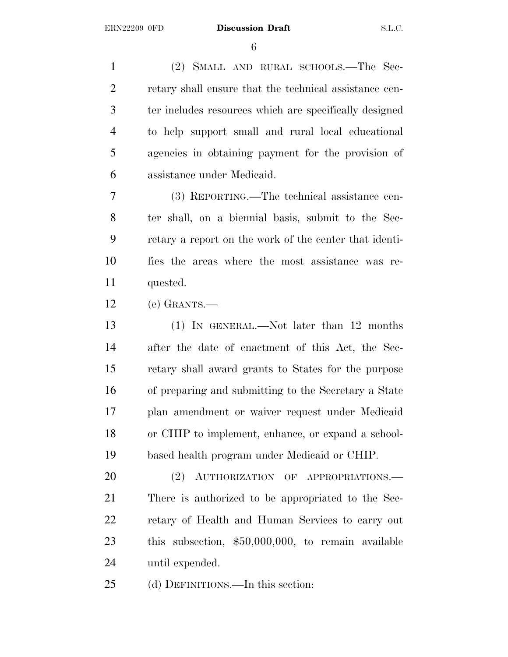(2) SMALL AND RURAL SCHOOLS.—The Sec- retary shall ensure that the technical assistance cen- ter includes resources which are specifically designed to help support small and rural local educational agencies in obtaining payment for the provision of assistance under Medicaid.

 (3) REPORTING.—The technical assistance cen- ter shall, on a biennial basis, submit to the Sec- retary a report on the work of the center that identi- fies the areas where the most assistance was re-quested.

(c) GRANTS.—

 (1) IN GENERAL.—Not later than 12 months after the date of enactment of this Act, the Sec- retary shall award grants to States for the purpose of preparing and submitting to the Secretary a State plan amendment or waiver request under Medicaid or CHIP to implement, enhance, or expand a school-based health program under Medicaid or CHIP.

20 (2) AUTHORIZATION OF APPROPRIATIONS. There is authorized to be appropriated to the Sec- retary of Health and Human Services to carry out this subsection, \$50,000,000, to remain available until expended.

(d) DEFINITIONS.—In this section: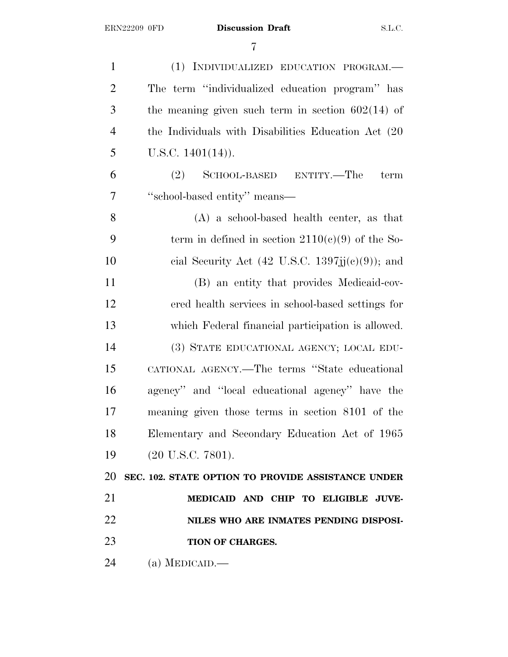| $\mathbf{1}$   | (1) INDIVIDUALIZED EDUCATION PROGRAM.-               |
|----------------|------------------------------------------------------|
| $\overline{2}$ | The term "individualized education program" has      |
| 3              | the meaning given such term in section $602(14)$ of  |
| $\overline{4}$ | the Individuals with Disabilities Education Act (20) |
| 5              | U.S.C. $1401(14)$ ).                                 |
| 6              | SCHOOL-BASED ENTITY.—The<br>(2)<br>term              |
| 7              | "school-based entity" means-                         |
| 8              | $(A)$ a school-based health center, as that          |
| 9              | term in defined in section $2110(c)(9)$ of the So-   |
| 10             | cial Security Act (42 U.S.C. 1397jj(c)(9)); and      |
| 11             | (B) an entity that provides Medicaid-cov-            |
| 12             | ered health services in school-based settings for    |
| 13             | which Federal financial participation is allowed.    |
| 14             | (3) STATE EDUCATIONAL AGENCY; LOCAL EDU-             |
| 15             | CATIONAL AGENCY.—The terms "State educational        |
| 16             | agency" and "local educational agency" have the      |
| 17             | meaning given those terms in section 8101 of the     |
| 18             | Elementary and Secondary Education Act of 1965       |
| 19             | $(20 \text{ U.S.C. } 7801).$                         |
| 20             | SEC. 102. STATE OPTION TO PROVIDE ASSISTANCE UNDER   |
| 21             | MEDICAID AND CHIP TO ELIGIBLE JUVE-                  |
| 22             | NILES WHO ARE INMATES PENDING DISPOSI-               |
| 23             | TION OF CHARGES.                                     |
| 24             | (a) MEDICAID.                                        |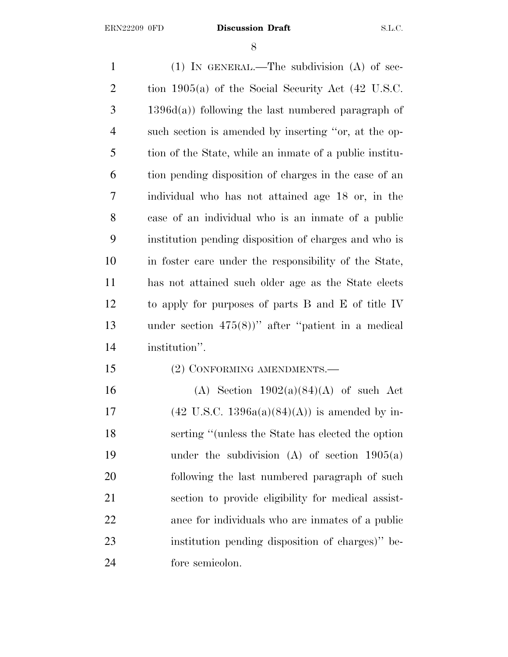(1) IN GENERAL.—The subdivision (A) of sec- tion 1905(a) of the Social Security Act (42 U.S.C. 1396d(a)) following the last numbered paragraph of such section is amended by inserting ''or, at the op- tion of the State, while an inmate of a public institu- tion pending disposition of charges in the case of an individual who has not attained age 18 or, in the case of an individual who is an inmate of a public institution pending disposition of charges and who is in foster care under the responsibility of the State, has not attained such older age as the State elects to apply for purposes of parts B and E of title IV under section 475(8))'' after ''patient in a medical institution''. (2) CONFORMING AMENDMENTS.— 16 (A) Section  $1902(a)(84)(A)$  of such Act 17 (42 U.S.C. 1396a(a)(84)(A)) is amended by in- serting ''(unless the State has elected the option under the subdivision (A) of section 1905(a) following the last numbered paragraph of such section to provide eligibility for medical assist- ance for individuals who are inmates of a public institution pending disposition of charges)'' be-fore semicolon.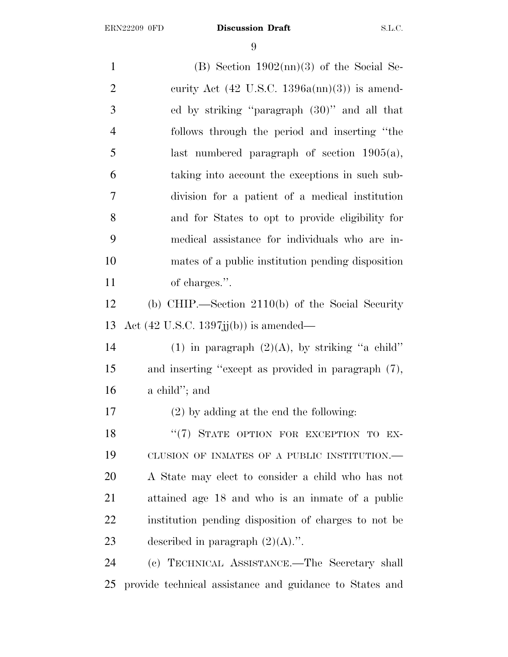1 (B) Section  $1902 \text{(nn)}(3)$  of the Social Se-2 curity Act  $(42 \text{ U.S.C. } 1396a(\text{nn})(3))$  is amend- ed by striking ''paragraph (30)'' and all that follows through the period and inserting ''the last numbered paragraph of section 1905(a), taking into account the exceptions in such sub- division for a patient of a medical institution and for States to opt to provide eligibility for medical assistance for individuals who are in- mates of a public institution pending disposition of charges.''. (b) CHIP.—Section 2110(b) of the Social Security Act (42 U.S.C. 1397jj(b)) is amended— 14 (1) in paragraph  $(2)(A)$ , by striking "a child" and inserting ''except as provided in paragraph (7), a child''; and (2) by adding at the end the following: 18 "(7) STATE OPTION FOR EXCEPTION TO EX- CLUSION OF INMATES OF A PUBLIC INSTITUTION.— A State may elect to consider a child who has not attained age 18 and who is an inmate of a public institution pending disposition of charges to not be 23 described in paragraph  $(2)(A)$ .". (c) TECHNICAL ASSISTANCE.—The Secretary shall

provide technical assistance and guidance to States and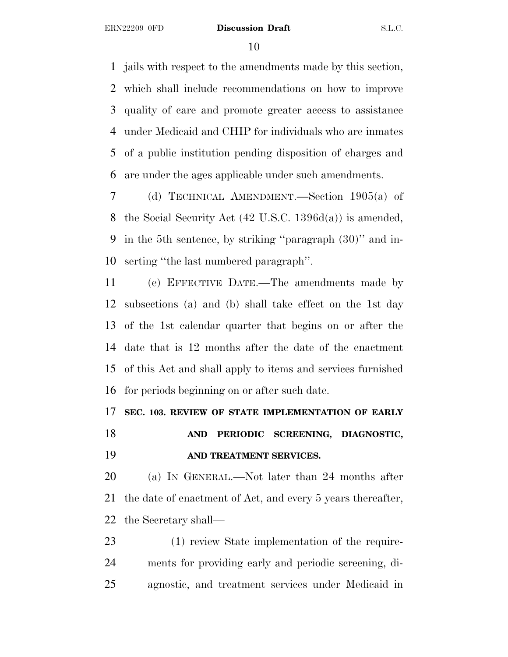jails with respect to the amendments made by this section, which shall include recommendations on how to improve quality of care and promote greater access to assistance under Medicaid and CHIP for individuals who are inmates of a public institution pending disposition of charges and are under the ages applicable under such amendments.

 (d) TECHNICAL AMENDMENT.—Section 1905(a) of the Social Security Act (42 U.S.C. 1396d(a)) is amended, in the 5th sentence, by striking ''paragraph (30)'' and in-serting ''the last numbered paragraph''.

 (e) EFFECTIVE DATE.—The amendments made by subsections (a) and (b) shall take effect on the 1st day of the 1st calendar quarter that begins on or after the date that is 12 months after the date of the enactment of this Act and shall apply to items and services furnished for periods beginning on or after such date.

# **SEC. 103. REVIEW OF STATE IMPLEMENTATION OF EARLY**

 **AND PERIODIC SCREENING, DIAGNOSTIC, AND TREATMENT SERVICES.**

 (a) I<sup>N</sup> GENERAL.—Not later than 24 months after the date of enactment of Act, and every 5 years thereafter, the Secretary shall—

 (1) review State implementation of the require- ments for providing early and periodic screening, di-agnostic, and treatment services under Medicaid in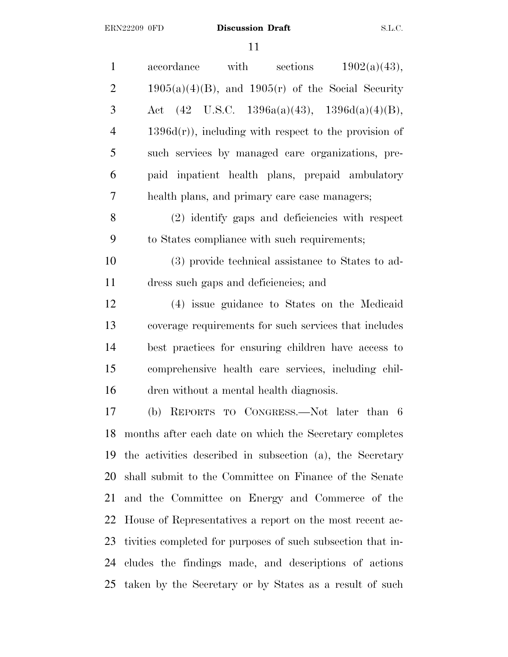| $\mathbf{1}$   | with<br>sections<br>1902(a)(43),<br>accordance              |
|----------------|-------------------------------------------------------------|
| $\overline{c}$ | $1905(a)(4)(B)$ , and $1905(r)$ of the Social Security      |
| 3              | Act $(42 \text{ U.S.C. } 1396a(a)(43), 1396d(a)(4)(B),$     |
| $\overline{4}$ | $1396d(r)$ , including with respect to the provision of     |
| 5              | such services by managed care organizations, pre-           |
| 6              | paid inpatient health plans, prepaid ambulatory             |
| $\overline{7}$ | health plans, and primary care case managers;               |
| 8              | (2) identify gaps and deficiencies with respect             |
| 9              | to States compliance with such requirements;                |
| 10             | (3) provide technical assistance to States to ad-           |
| 11             | dress such gaps and deficiencies; and                       |
| 12             | (4) issue guidance to States on the Medicaid                |
| 13             | coverage requirements for such services that includes       |
| 14             | best practices for ensuring children have access to         |
| 15             | comprehensive health care services, including chil-         |
| 16             | dren without a mental health diagnosis.                     |
| 17             | (b) REPORTS TO CONGRESS.—Not later than 6                   |
| 18             | months after each date on which the Secretary completes     |
| 19             | the activities described in subsection (a), the Secretary   |
| 20             | shall submit to the Committee on Finance of the Senate      |
| 21             | and the Committee on Energy and Commerce of the             |
| 22             | House of Representatives a report on the most recent ac-    |
| 23             | tivities completed for purposes of such subsection that in- |
| 24             | cludes the findings made, and descriptions of actions       |
| 25             | taken by the Secretary or by States as a result of such     |
|                |                                                             |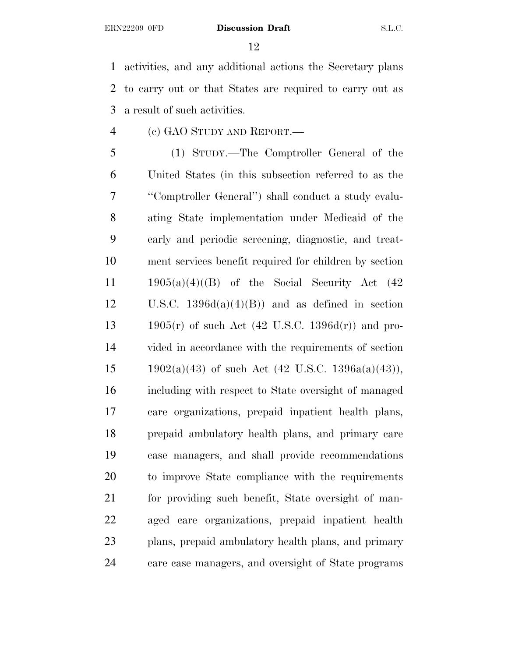activities, and any additional actions the Secretary plans to carry out or that States are required to carry out as a result of such activities.

(c) GAO STUDY AND REPORT.—

 (1) STUDY.—The Comptroller General of the United States (in this subsection referred to as the ''Comptroller General'') shall conduct a study evalu- ating State implementation under Medicaid of the early and periodic screening, diagnostic, and treat- ment services benefit required for children by section  $1905(a)(4)((B)$  of the Social Security Act  $(42)$ 12 U.S.C.  $1396d(a)(4)(B)$  and as defined in section 1905(r) of such Act (42 U.S.C. 1396d(r)) and pro- vided in accordance with the requirements of section 15 1902(a)(43) of such Act (42 U.S.C. 1396a(a)(43)), including with respect to State oversight of managed care organizations, prepaid inpatient health plans, prepaid ambulatory health plans, and primary care case managers, and shall provide recommendations to improve State compliance with the requirements for providing such benefit, State oversight of man- aged care organizations, prepaid inpatient health plans, prepaid ambulatory health plans, and primary care case managers, and oversight of State programs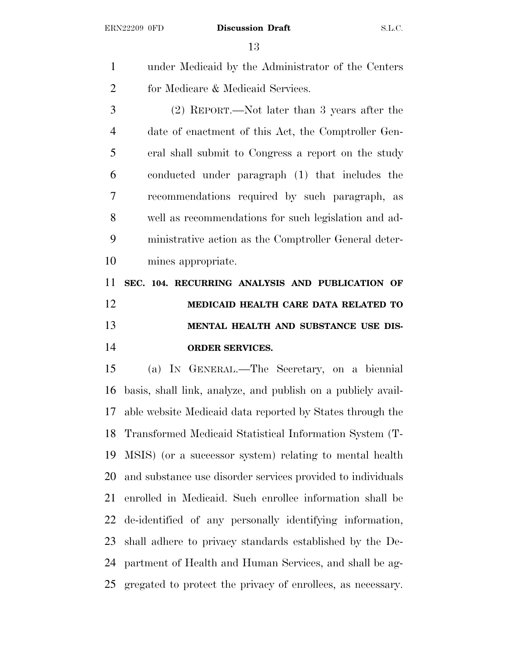under Medicaid by the Administrator of the Centers for Medicare & Medicaid Services.

 (2) REPORT.—Not later than 3 years after the date of enactment of this Act, the Comptroller Gen- eral shall submit to Congress a report on the study conducted under paragraph (1) that includes the recommendations required by such paragraph, as well as recommendations for such legislation and ad- ministrative action as the Comptroller General deter-mines appropriate.

 **SEC. 104. RECURRING ANALYSIS AND PUBLICATION OF MEDICAID HEALTH CARE DATA RELATED TO MENTAL HEALTH AND SUBSTANCE USE DIS-ORDER SERVICES.**

 (a) I<sup>N</sup> GENERAL.—The Secretary, on a biennial basis, shall link, analyze, and publish on a publicly avail- able website Medicaid data reported by States through the Transformed Medicaid Statistical Information System (T- MSIS) (or a successor system) relating to mental health and substance use disorder services provided to individuals enrolled in Medicaid. Such enrollee information shall be de-identified of any personally identifying information, shall adhere to privacy standards established by the De- partment of Health and Human Services, and shall be ag-gregated to protect the privacy of enrollees, as necessary.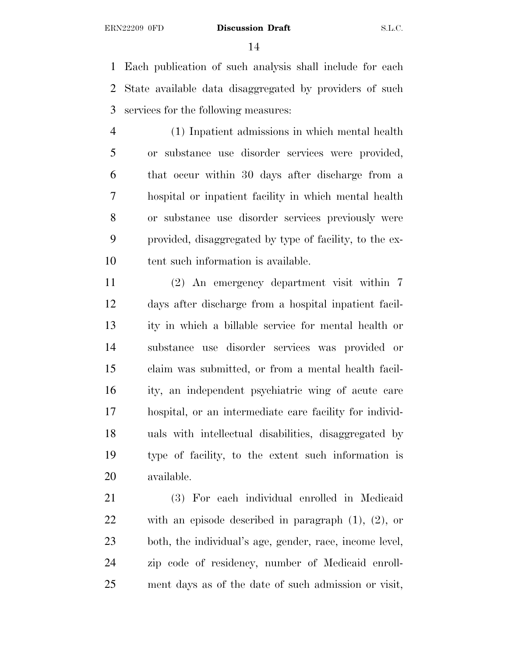Each publication of such analysis shall include for each State available data disaggregated by providers of such services for the following measures:

 (1) Inpatient admissions in which mental health or substance use disorder services were provided, that occur within 30 days after discharge from a hospital or inpatient facility in which mental health or substance use disorder services previously were provided, disaggregated by type of facility, to the ex-10 tent such information is available.

 (2) An emergency department visit within 7 days after discharge from a hospital inpatient facil- ity in which a billable service for mental health or substance use disorder services was provided or claim was submitted, or from a mental health facil- ity, an independent psychiatric wing of acute care hospital, or an intermediate care facility for individ- uals with intellectual disabilities, disaggregated by type of facility, to the extent such information is available.

 (3) For each individual enrolled in Medicaid with an episode described in paragraph (1), (2), or both, the individual's age, gender, race, income level, zip code of residency, number of Medicaid enroll-ment days as of the date of such admission or visit,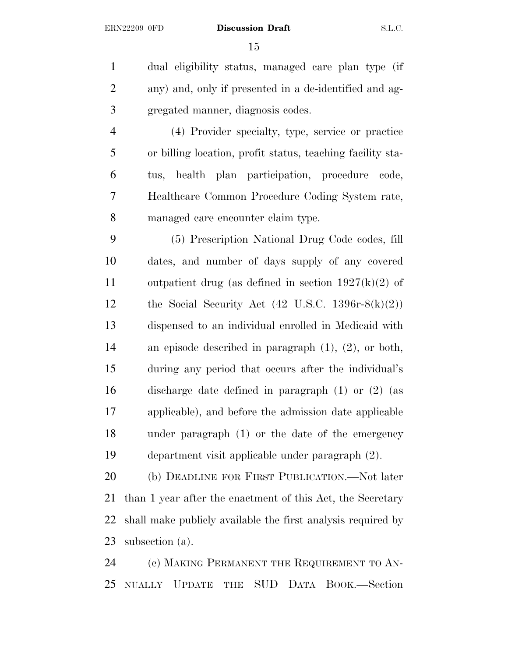dual eligibility status, managed care plan type (if any) and, only if presented in a de-identified and ag-gregated manner, diagnosis codes.

 (4) Provider specialty, type, service or practice or billing location, profit status, teaching facility sta- tus, health plan participation, procedure code, Healthcare Common Procedure Coding System rate, managed care encounter claim type.

 (5) Prescription National Drug Code codes, fill dates, and number of days supply of any covered 11 outpatient drug (as defined in section  $1927(k)(2)$  of 12 the Social Security Act  $(42 \text{ U.S.C. } 1396 \text{r} \text{-} 8(\text{k})(2))$  dispensed to an individual enrolled in Medicaid with an episode described in paragraph (1), (2), or both, during any period that occurs after the individual's discharge date defined in paragraph (1) or (2) (as applicable), and before the admission date applicable under paragraph (1) or the date of the emergency department visit applicable under paragraph (2).

 (b) DEADLINE FOR FIRST PUBLICATION.—Not later than 1 year after the enactment of this Act, the Secretary shall make publicly available the first analysis required by subsection (a).

 (c) MAKING PERMANENT THE REQUIREMENT TO AN-NUALLY UPDATE THE SUD DATA BOOK.—Section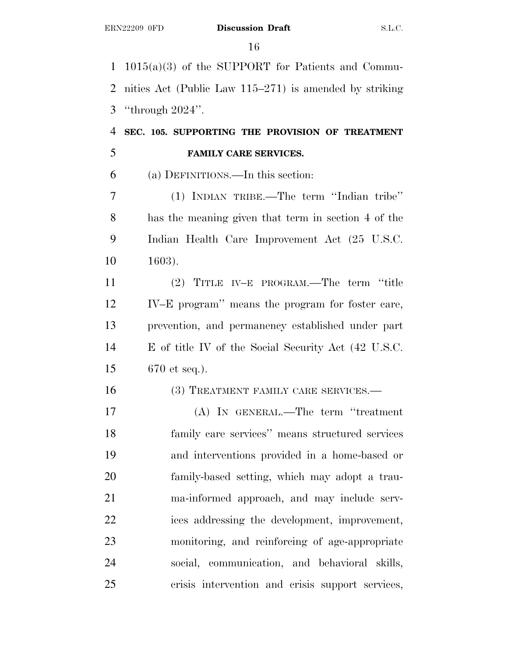1015(a)(3) of the SUPPORT for Patients and Commu- nities Act (Public Law 115–271) is amended by striking ''through 2024''.

# **SEC. 105. SUPPORTING THE PROVISION OF TREATMENT FAMILY CARE SERVICES.**

(a) DEFINITIONS.—In this section:

 (1) INDIAN TRIBE.—The term ''Indian tribe'' has the meaning given that term in section 4 of the Indian Health Care Improvement Act (25 U.S.C. 1603).

 (2) TITLE IV–E PROGRAM.—The term ''title IV–E program'' means the program for foster care, prevention, and permanency established under part E of title IV of the Social Security Act (42 U.S.C. 670 et seq.).

16 (3) TREATMENT FAMILY CARE SERVICES.—

 (A) IN GENERAL.—The term ''treatment family care services'' means structured services and interventions provided in a home-based or family-based setting, which may adopt a trau- ma-informed approach, and may include serv- ices addressing the development, improvement, monitoring, and reinforcing of age-appropriate social, communication, and behavioral skills, crisis intervention and crisis support services,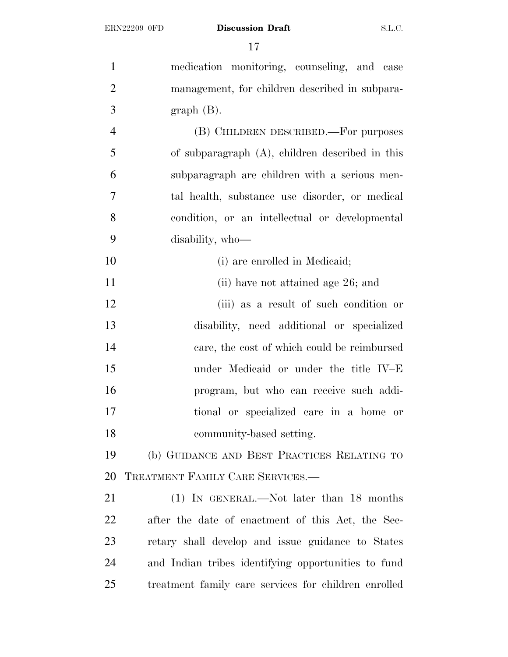| $\mathbf{1}$   | medication monitoring, counseling, and case          |
|----------------|------------------------------------------------------|
| $\overline{2}$ | management, for children described in subpara-       |
| 3              | $graph(B)$ .                                         |
| $\overline{4}$ | (B) CHILDREN DESCRIBED.—For purposes                 |
| 5              | of subparagraph $(A)$ , children described in this   |
| 6              | subparagraph are children with a serious men-        |
| 7              | tal health, substance use disorder, or medical       |
| 8              | condition, or an intellectual or developmental       |
| 9              | disability, who-                                     |
| 10             | (i) are enrolled in Medicaid;                        |
| 11             | (ii) have not attained age 26; and                   |
| 12             | (iii) as a result of such condition or               |
| 13             | disability, need additional or specialized           |
| 14             | care, the cost of which could be reimbursed          |
| 15             | under Medicaid or under the title IV-E               |
| 16             | program, but who can receive such addi-              |
| 17             | tional or specialized care in a home or              |
| 18             | community-based setting.                             |
| 19             | (b) GUIDANCE AND BEST PRACTICES RELATING TO          |
| 20             | TREATMENT FAMILY CARE SERVICES.-                     |
| 21             | $(1)$ IN GENERAL.—Not later than 18 months           |
| 22             | after the date of enactment of this Act, the Sec-    |
| 23             | retary shall develop and issue guidance to States    |
| 24             | and Indian tribes identifying opportunities to fund  |
| 25             | treatment family care services for children enrolled |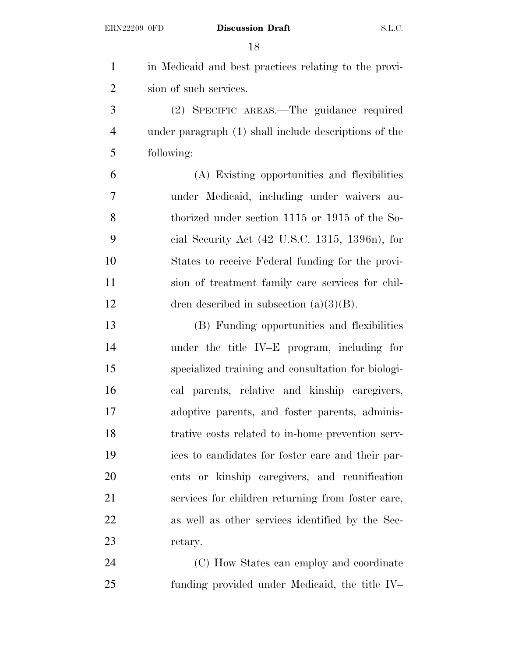| $\mathbf{1}$   | in Medicaid and best practices relating to the provi-      |
|----------------|------------------------------------------------------------|
| $\overline{2}$ | sion of such services.                                     |
| 3              | (2) SPECIFIC AREAS.—The guidance required                  |
| $\overline{4}$ | under paragraph (1) shall include descriptions of the      |
| 5              | following:                                                 |
| 6              | (A) Existing opportunities and flexibilities               |
| 7              | under Medicaid, including under waivers au-                |
| 8              | thorized under section 1115 or 1915 of the So-             |
| 9              | cial Security Act $(42 \text{ U.S.C. } 1315, 1396n)$ , for |
| 10             | States to receive Federal funding for the provi-           |
| 11             | sion of treatment family care services for chil-           |
| 12             | dren described in subsection $(a)(3)(B)$ .                 |
| 13             | (B) Funding opportunities and flexibilities                |
| 14             | under the title IV-E program, including for                |
| 15             | specialized training and consultation for biologi-         |
| 16             | cal parents, relative and kinship caregivers,              |
| $17\,$         | adoptive parents, and foster parents, adminis-             |
| 18             | trative costs related to in-home prevention serv-          |
| 19             | ices to candidates for foster care and their par-          |
| 20             | ents or kinship caregivers, and reunification              |
| 21             | services for children returning from foster care,          |
| 22             | as well as other services identified by the Sec-           |
| 23             | retary.                                                    |
| 24             | (C) How States can employ and coordinate                   |
| 25             | funding provided under Medicaid, the title IV-             |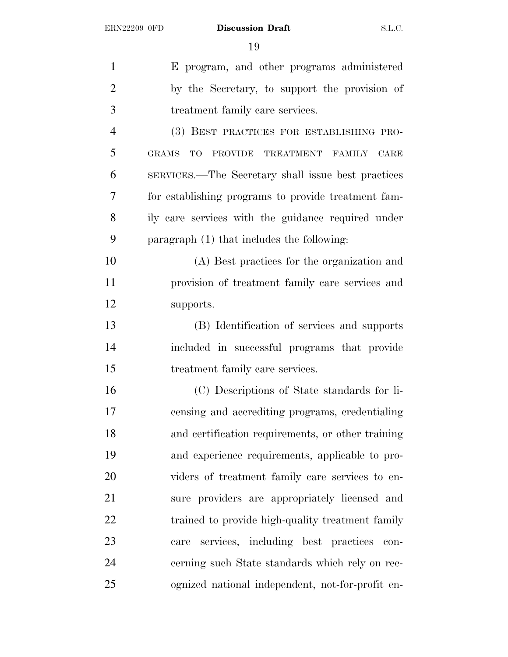| $\mathbf{1}$   | E program, and other programs administered          |
|----------------|-----------------------------------------------------|
| $\overline{2}$ | by the Secretary, to support the provision of       |
| 3              | treatment family care services.                     |
| $\overline{4}$ | (3) BEST PRACTICES FOR ESTABLISHING PRO-            |
| 5              | TO PROVIDE TREATMENT FAMILY CARE<br><b>GRAMS</b>    |
| 6              | SERVICES.—The Secretary shall issue best practices  |
| 7              | for establishing programs to provide treatment fam- |
| 8              | ily care services with the guidance required under  |
| 9              | paragraph $(1)$ that includes the following:        |
| 10             | (A) Best practices for the organization and         |
| 11             | provision of treatment family care services and     |
| 12             | supports.                                           |
| 13             | (B) Identification of services and supports         |
| 14             | included in successful programs that provide        |
| 15             | treatment family care services.                     |
| 16             | (C) Descriptions of State standards for li-         |
| 17             | censing and accrediting programs, credentialing     |
| 18             | and certification requirements, or other training   |
| 19             | and experience requirements, applicable to pro-     |
| 20             | viders of treatment family care services to en-     |
| 21             | sure providers are appropriately licensed and       |
| 22             | trained to provide high-quality treatment family    |
| 23             | services, including best practices con-<br>care     |
| 24             | cerning such State standards which rely on rec-     |
| 25             | ognized national independent, not-for-profit en-    |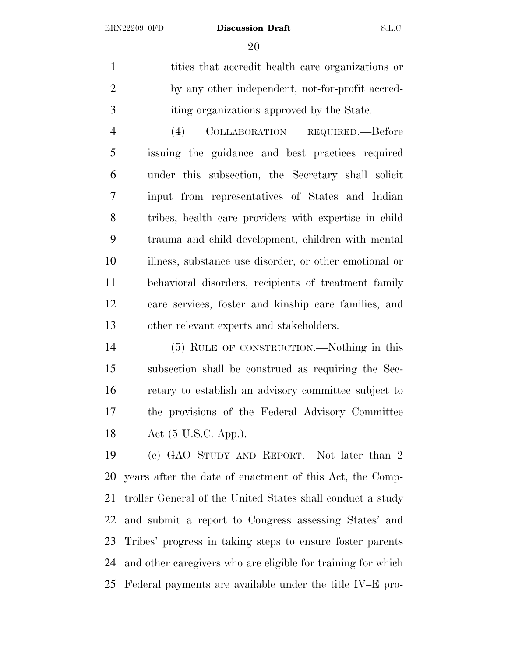tities that accredit health care organizations or by any other independent, not-for-profit accred-iting organizations approved by the State.

 (4) COLLABORATION REQUIRED.—Before issuing the guidance and best practices required under this subsection, the Secretary shall solicit input from representatives of States and Indian tribes, health care providers with expertise in child trauma and child development, children with mental illness, substance use disorder, or other emotional or behavioral disorders, recipients of treatment family care services, foster and kinship care families, and other relevant experts and stakeholders.

 (5) RULE OF CONSTRUCTION.—Nothing in this subsection shall be construed as requiring the Sec- retary to establish an advisory committee subject to the provisions of the Federal Advisory Committee Act (5 U.S.C. App.).

 (c) GAO STUDY AND REPORT.—Not later than 2 years after the date of enactment of this Act, the Comp- troller General of the United States shall conduct a study and submit a report to Congress assessing States' and Tribes' progress in taking steps to ensure foster parents and other caregivers who are eligible for training for which Federal payments are available under the title IV–E pro-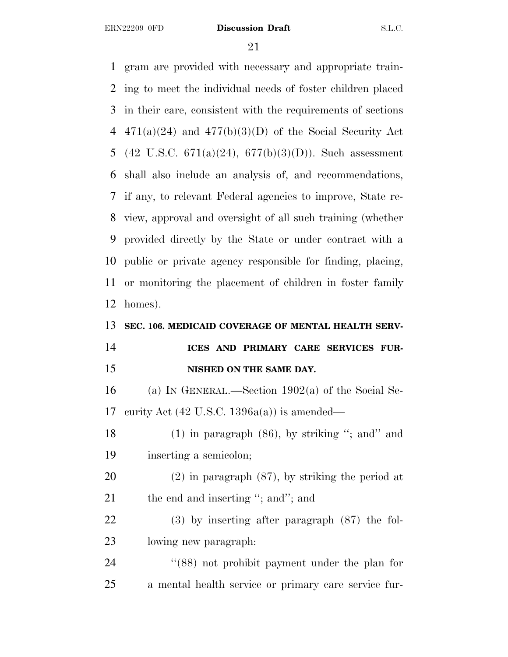gram are provided with necessary and appropriate train- ing to meet the individual needs of foster children placed in their care, consistent with the requirements of sections 4 471(a)(24) and 477(b)(3)(D) of the Social Security Act 5 (42 U.S.C. 671(a)(24), 677(b)(3)(D)). Such assessment shall also include an analysis of, and recommendations, if any, to relevant Federal agencies to improve, State re- view, approval and oversight of all such training (whether provided directly by the State or under contract with a public or private agency responsible for finding, placing, or monitoring the placement of children in foster family homes). **SEC. 106. MEDICAID COVERAGE OF MENTAL HEALTH SERV- ICES AND PRIMARY CARE SERVICES FUR- NISHED ON THE SAME DAY.** (a) I<sup>N</sup> GENERAL.—Section 1902(a) of the Social Se- curity Act (42 U.S.C. 1396a(a)) is amended— 18 (1) in paragraph (86), by striking "; and" and inserting a semicolon; (2) in paragraph (87), by striking the period at 21 the end and inserting "; and"; and (3) by inserting after paragraph (87) the fol- lowing new paragraph: 24 ''(88) not prohibit payment under the plan for a mental health service or primary care service fur-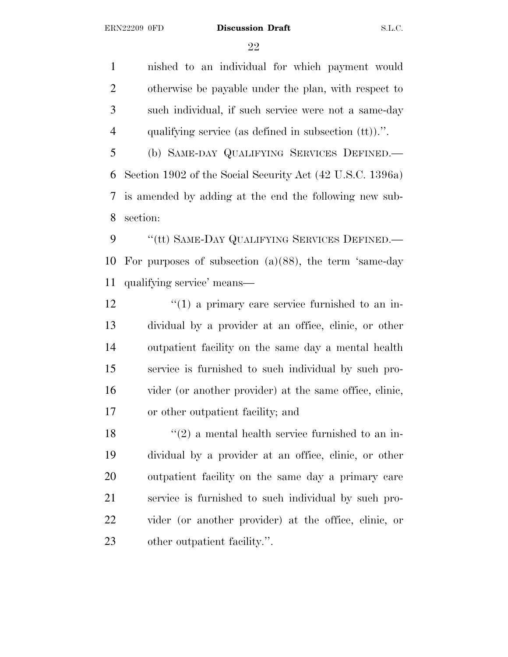nished to an individual for which payment would otherwise be payable under the plan, with respect to such individual, if such service were not a same-day qualifying service (as defined in subsection (tt)).''.

 (b) SAME-DAY QUALIFYING SERVICES DEFINED.— Section 1902 of the Social Security Act (42 U.S.C. 1396a) is amended by adding at the end the following new sub-section:

9 "(tt) SAME-DAY QUALIFYING SERVICES DEFINED.— For purposes of subsection (a)(88), the term 'same-day qualifying service' means—

 $\frac{12}{12}$  ''(1) a primary care service furnished to an in- dividual by a provider at an office, clinic, or other outpatient facility on the same day a mental health service is furnished to such individual by such pro- vider (or another provider) at the same office, clinic, or other outpatient facility; and

 $\frac{1}{2}$  a mental health service furnished to an in- dividual by a provider at an office, clinic, or other outpatient facility on the same day a primary care service is furnished to such individual by such pro- vider (or another provider) at the office, clinic, or other outpatient facility.''.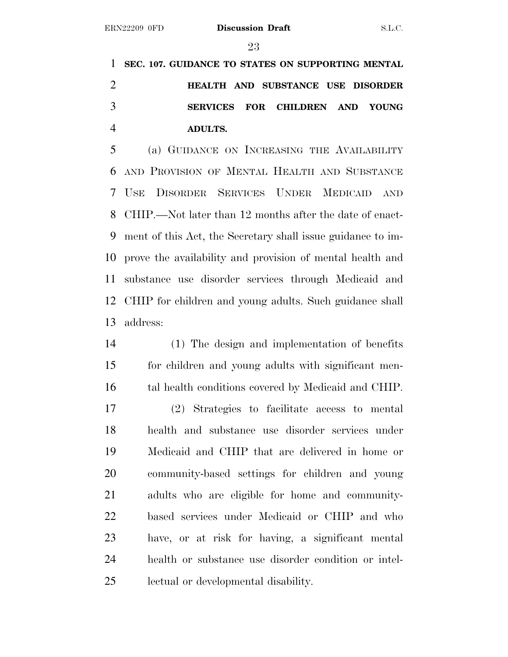**SEC. 107. GUIDANCE TO STATES ON SUPPORTING MENTAL HEALTH AND SUBSTANCE USE DISORDER SERVICES FOR CHILDREN AND YOUNG ADULTS.**

 (a) GUIDANCE ON INCREASING THE AVAILABILITY AND PROVISION OF MENTAL HEALTH AND SUBSTANCE USE DISORDER SERVICES UNDER MEDICAID AND CHIP.—Not later than 12 months after the date of enact- ment of this Act, the Secretary shall issue guidance to im- prove the availability and provision of mental health and substance use disorder services through Medicaid and CHIP for children and young adults. Such guidance shall address:

 (1) The design and implementation of benefits for children and young adults with significant men- tal health conditions covered by Medicaid and CHIP. (2) Strategies to facilitate access to mental health and substance use disorder services under Medicaid and CHIP that are delivered in home or community-based settings for children and young adults who are eligible for home and community- based services under Medicaid or CHIP and who have, or at risk for having, a significant mental health or substance use disorder condition or intel-lectual or developmental disability.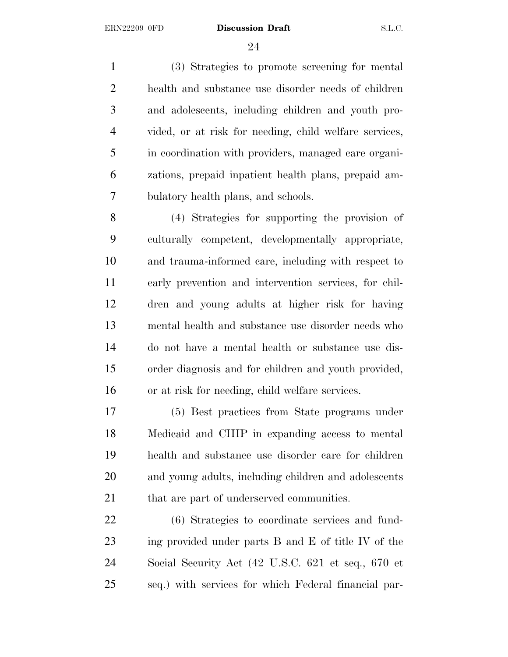(3) Strategies to promote screening for mental health and substance use disorder needs of children and adolescents, including children and youth pro- vided, or at risk for needing, child welfare services, in coordination with providers, managed care organi- zations, prepaid inpatient health plans, prepaid am-bulatory health plans, and schools.

 (4) Strategies for supporting the provision of culturally competent, developmentally appropriate, and trauma-informed care, including with respect to early prevention and intervention services, for chil- dren and young adults at higher risk for having mental health and substance use disorder needs who do not have a mental health or substance use dis- order diagnosis and for children and youth provided, or at risk for needing, child welfare services.

 (5) Best practices from State programs under Medicaid and CHIP in expanding access to mental health and substance use disorder care for children and young adults, including children and adolescents 21 that are part of underserved communities.

 (6) Strategies to coordinate services and fund- ing provided under parts B and E of title IV of the Social Security Act (42 U.S.C. 621 et seq., 670 et seq.) with services for which Federal financial par-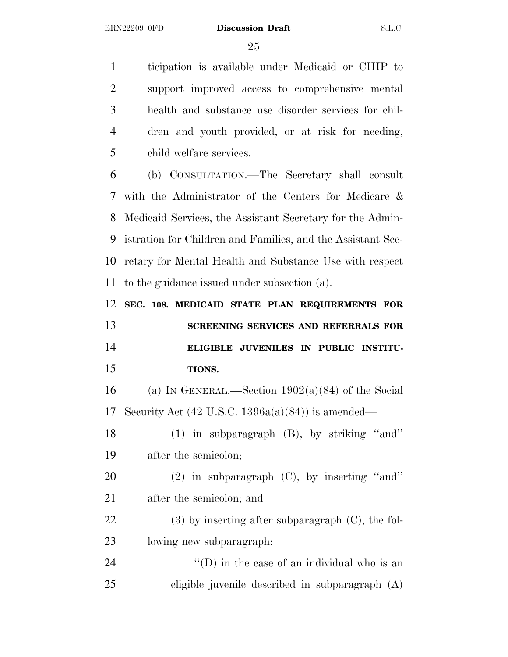ticipation is available under Medicaid or CHIP to support improved access to comprehensive mental health and substance use disorder services for chil- dren and youth provided, or at risk for needing, child welfare services.

 (b) CONSULTATION.—The Secretary shall consult with the Administrator of the Centers for Medicare & Medicaid Services, the Assistant Secretary for the Admin- istration for Children and Families, and the Assistant Sec- retary for Mental Health and Substance Use with respect to the guidance issued under subsection (a).

 **SEC. 108. MEDICAID STATE PLAN REQUIREMENTS FOR SCREENING SERVICES AND REFERRALS FOR ELIGIBLE JUVENILES IN PUBLIC INSTITU-TIONS.**

16 (a) IN GENERAL.—Section  $1902(a)(84)$  of the Social Security Act (42 U.S.C. 1396a(a)(84)) is amended—

 (1) in subparagraph (B), by striking ''and'' after the semicolon;

 (2) in subparagraph (C), by inserting ''and'' after the semicolon; and

22 (3) by inserting after subparagraph (C), the fol-lowing new subparagraph:

24  $\langle (D)$  in the case of an individual who is an eligible juvenile described in subparagraph (A)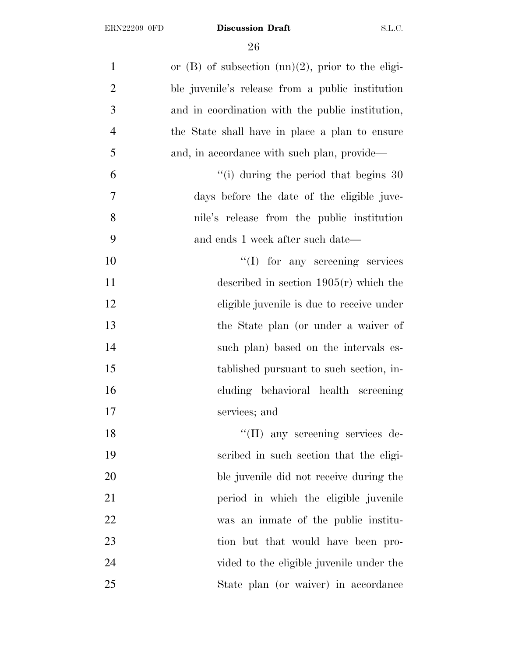| $\mathbf{1}$   | or $(B)$ of subsection $(nn)(2)$ , prior to the eligi- |
|----------------|--------------------------------------------------------|
| $\overline{2}$ | ble juvenile's release from a public institution       |
| 3              | and in coordination with the public institution,       |
| $\overline{4}$ | the State shall have in place a plan to ensure         |
| 5              | and, in accordance with such plan, provide—            |
| 6              | $\degree$ (i) during the period that begins 30         |
| 7              | days before the date of the eligible juve-             |
| 8              | nile's release from the public institution             |
| 9              | and ends 1 week after such date—                       |
| 10             | $\lq\lq$ (I) for any screening services                |
| 11             | described in section $1905(r)$ which the               |
| 12             | eligible juvenile is due to receive under              |
| 13             | the State plan (or under a waiver of                   |
| 14             | such plan) based on the intervals es-                  |
| 15             | tablished pursuant to such section, in-                |
| 16             | cluding behavioral health screening                    |
| 17             | services; and                                          |
| 18             | "(II) any screening services de-                       |
| 19             | scribed in such section that the eligi-                |
| 20             | ble juvenile did not receive during the                |
| 21             | period in which the eligible juvenile                  |
| 22             | was an inmate of the public institu-                   |
| 23             | tion but that would have been pro-                     |
| 24             | vided to the eligible juvenile under the               |
| 25             | State plan (or waiver) in accordance                   |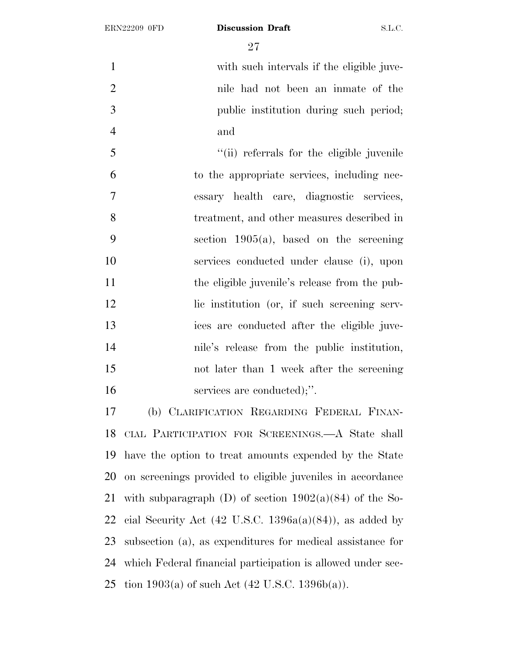with such intervals if the eligible juve- nile had not been an inmate of the public institution during such period; and

 ''(ii) referrals for the eligible juvenile to the appropriate services, including nec- essary health care, diagnostic services, treatment, and other measures described in section 1905(a), based on the screening services conducted under clause (i), upon the eligible juvenile's release from the pub-12 lic institution (or, if such screening serv- ices are conducted after the eligible juve- nile's release from the public institution, not later than 1 week after the screening 16 services are conducted);".

 (b) CLARIFICATION REGARDING FEDERAL FINAN- CIAL PARTICIPATION FOR SCREENINGS.—A State shall have the option to treat amounts expended by the State on screenings provided to eligible juveniles in accordance 21 with subparagraph (D) of section  $1902(a)(84)$  of the So-22 cial Security Act  $(42 \text{ U.S.C. } 1396a(a)(84))$ , as added by subsection (a), as expenditures for medical assistance for which Federal financial participation is allowed under sec-25 tion  $1903(a)$  of such Act  $(42 \text{ U.S.C. } 1396b(a))$ .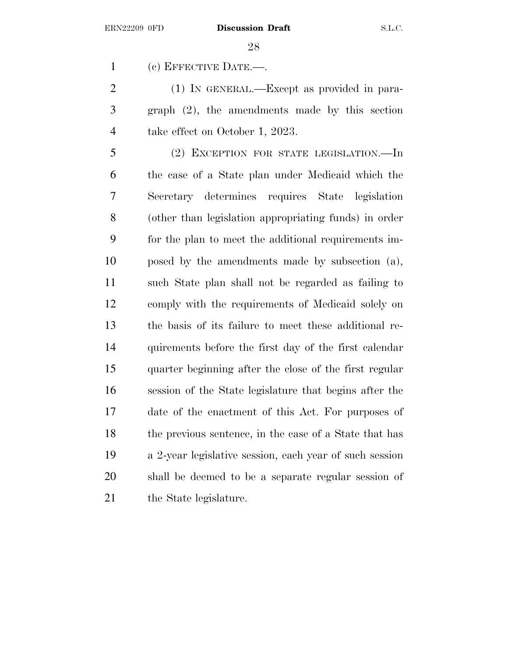(c) EFFECTIVE DATE.—.

 (1) IN GENERAL.—Except as provided in para- graph (2), the amendments made by this section take effect on October 1, 2023.

 (2) EXCEPTION FOR STATE LEGISLATION.—In the case of a State plan under Medicaid which the Secretary determines requires State legislation (other than legislation appropriating funds) in order for the plan to meet the additional requirements im- posed by the amendments made by subsection (a), such State plan shall not be regarded as failing to comply with the requirements of Medicaid solely on the basis of its failure to meet these additional re- quirements before the first day of the first calendar quarter beginning after the close of the first regular session of the State legislature that begins after the date of the enactment of this Act. For purposes of the previous sentence, in the case of a State that has a 2-year legislative session, each year of such session shall be deemed to be a separate regular session of 21 the State legislature.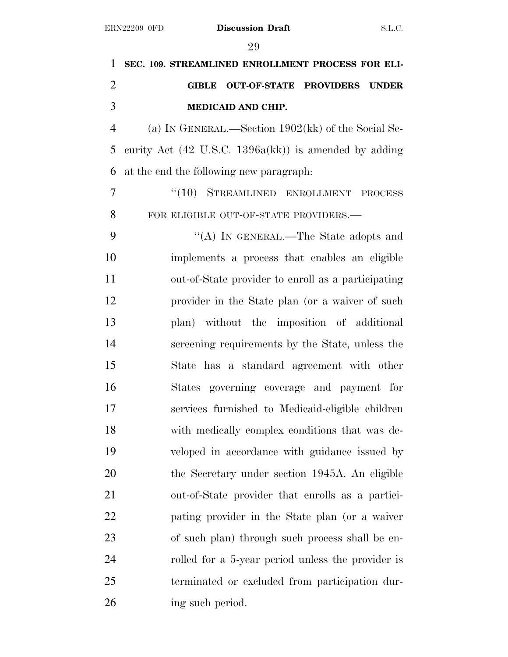**SEC. 109. STREAMLINED ENROLLMENT PROCESS FOR ELI- GIBLE OUT-OF-STATE PROVIDERS UNDER MEDICAID AND CHIP.** (a) I<sup>N</sup> GENERAL.—Section 1902(kk) of the Social Se- curity Act (42 U.S.C. 1396a(kk)) is amended by adding at the end the following new paragraph: 7 "(10) STREAMLINED ENROLLMENT PROCESS 8 FOR ELIGIBLE OUT-OF-STATE PROVIDERS. ''(A) IN GENERAL.—The State adopts and implements a process that enables an eligible out-of-State provider to enroll as a participating provider in the State plan (or a waiver of such plan) without the imposition of additional screening requirements by the State, unless the State has a standard agreement with other States governing coverage and payment for services furnished to Medicaid-eligible children with medically complex conditions that was de- veloped in accordance with guidance issued by the Secretary under section 1945A. An eligible out-of-State provider that enrolls as a partici- pating provider in the State plan (or a waiver of such plan) through such process shall be en- rolled for a 5-year period unless the provider is terminated or excluded from participation dur-26 ing such period.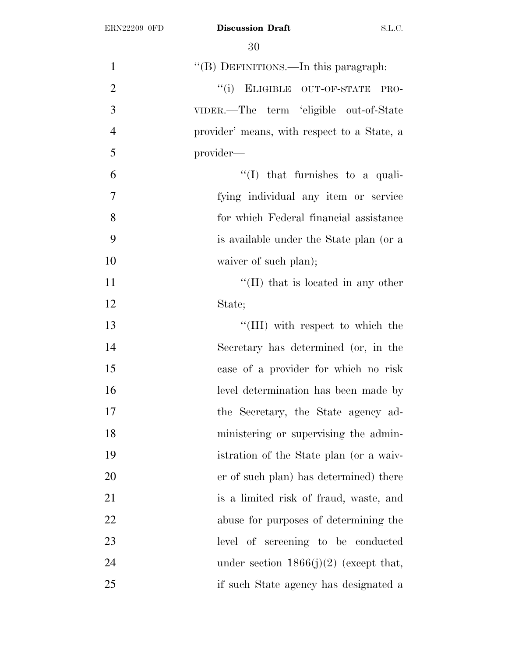| $\mathbf{1}$   | "(B) DEFINITIONS.—In this paragraph:        |
|----------------|---------------------------------------------|
| $\overline{2}$ | "(i) ELIGIBLE OUT-OF-STATE<br>PRO-          |
| 3              | VIDER.—The term 'eligible out-of-State      |
| $\overline{4}$ | provider' means, with respect to a State, a |
| 5              | provider—                                   |
| 6              | $\lq\lq$ (I) that furnishes to a quali-     |
| $\overline{7}$ | fying individual any item or service        |
| 8              | for which Federal financial assistance      |
| 9              | is available under the State plan (or a     |
| 10             | waiver of such plan);                       |
| 11             | $\lq\lq$ (II) that is located in any other  |
| 12             | State;                                      |
| 13             | "(III) with respect to which the            |
| 14             | Secretary has determined (or, in the        |
| 15             | case of a provider for which no risk        |
| 16             | level determination has been made by        |
| 17             | the Secretary, the State agency ad-         |
| 18             | ministering or supervising the admin-       |
| 19             | istration of the State plan (or a waiv-     |
| 20             | er of such plan) has determined) there      |
| 21             | is a limited risk of fraud, waste, and      |
| 22             | abuse for purposes of determining the       |
| 23             | level of screening to be conducted          |
| 24             | under section $1866(j)(2)$ (except that,    |
| 25             | if such State agency has designated a       |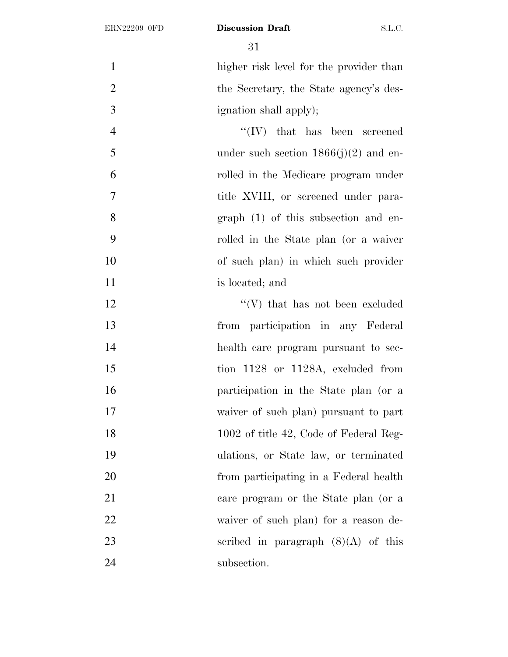higher risk level for the provider than 2 the Secretary, the State agency's des-ignation shall apply);

4 ''(IV) that has been screened under such section  $1866(j)(2)$  and en- rolled in the Medicare program under 7 title XVIII, or screened under para- graph (1) of this subsection and en- rolled in the State plan (or a waiver of such plan) in which such provider 11 is located; and

12 ''(V) that has not been excluded from participation in any Federal health care program pursuant to sec-15 tion 1128 or 1128A, excluded from participation in the State plan (or a waiver of such plan) pursuant to part 18 1002 of title 42, Code of Federal Reg- ulations, or State law, or terminated from participating in a Federal health care program or the State plan (or a waiver of such plan) for a reason de-23 scribed in paragraph  $(8)(A)$  of this 24 subsection.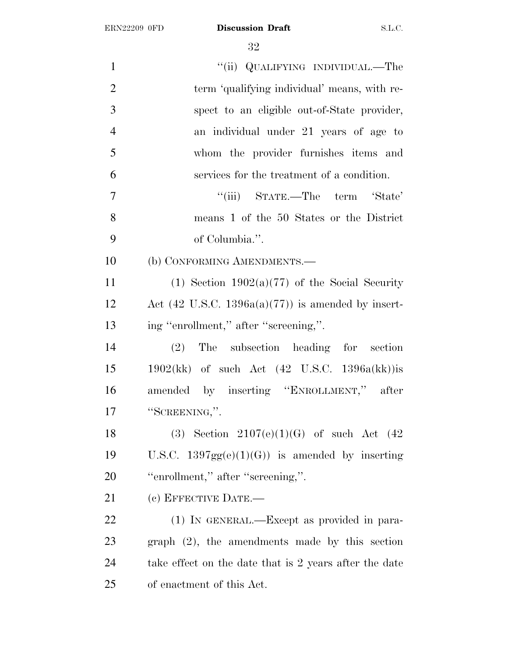| $\mathbf{1}$   | "(ii) QUALIFYING INDIVIDUAL.—The                              |
|----------------|---------------------------------------------------------------|
| $\overline{2}$ | term 'qualifying individual' means, with re-                  |
| 3              | spect to an eligible out-of-State provider,                   |
| $\overline{4}$ | an individual under 21 years of age to                        |
| 5              | whom the provider furnishes items and                         |
| 6              | services for the treatment of a condition.                    |
| $\tau$         | "(iii) STATE.—The term 'State'                                |
| 8              | means 1 of the 50 States or the District                      |
| 9              | of Columbia.".                                                |
| 10             | (b) CONFORMING AMENDMENTS.-                                   |
| 11             | (1) Section $1902(a)(77)$ of the Social Security              |
| 12             | Act $(42 \text{ U.S.C. } 1396a(a)(77))$ is amended by insert- |
| 13             | ing "enrollment," after "screening,".                         |
| 14             | (2) The subsection heading for section                        |
| 15             | $1902(kk)$ of such Act $(42 \text{ U.S.C. } 1396a(kk))$ is    |
| 16             | amended by inserting "ENROLLMENT," after                      |
| 17             | "SCREENING,".                                                 |
| 18             | (3) Section $2107(e)(1)(G)$ of such Act (42)                  |
| 19             | U.S.C. $1397gg(e)(1)(G)$ is amended by inserting              |
| 20             | "enrollment," after "screening,".                             |
| 21             | (c) EFFECTIVE DATE.—                                          |
| 22             | (1) IN GENERAL.—Except as provided in para-                   |
| 23             | $graph (2)$ , the amendments made by this section             |
| 24             | take effect on the date that is 2 years after the date        |
| 25             | of enactment of this Act.                                     |